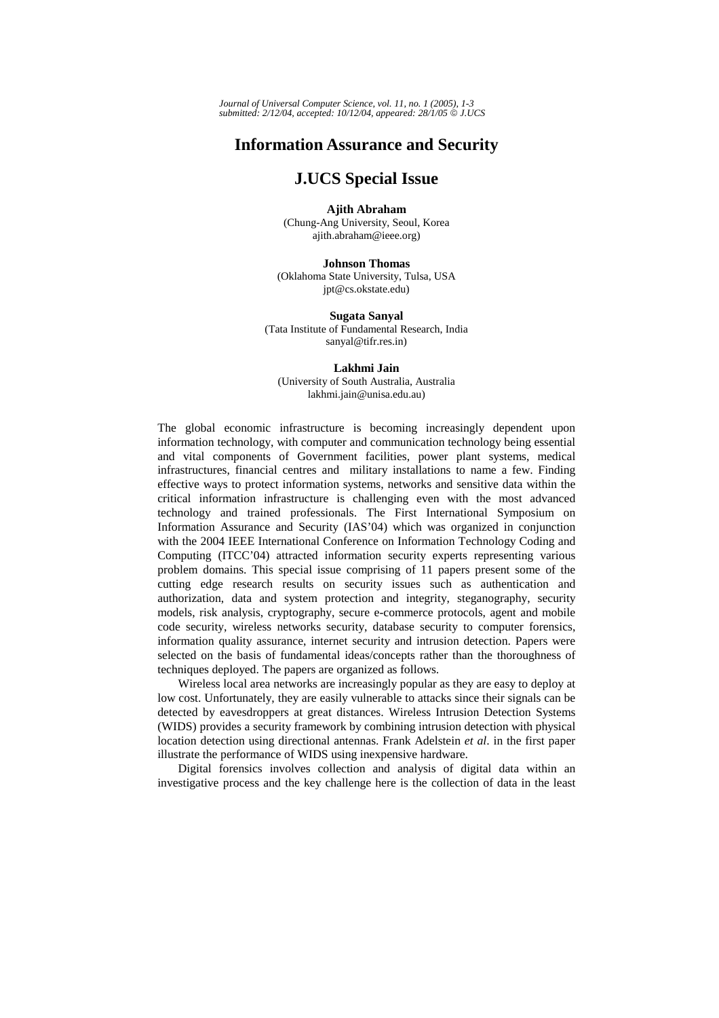## **Information Assurance and Security**

## **J.UCS Special Issue**

**Ajith Abraham**  (Chung-Ang University, Seoul, Korea ajith.abraham@ieee.org)

**Johnson Thomas**  (Oklahoma State University, Tulsa, USA jpt@cs.okstate.edu)

**Sugata Sanyal**  (Tata Institute of Fundamental Research, India sanyal@tifr.res.in)

## **Lakhmi Jain**

(University of South Australia, Australia lakhmi.jain@unisa.edu.au)

The global economic infrastructure is becoming increasingly dependent upon information technology, with computer and communication technology being essential and vital components of Government facilities, power plant systems, medical infrastructures, financial centres and military installations to name a few. Finding effective ways to protect information systems, networks and sensitive data within the critical information infrastructure is challenging even with the most advanced technology and trained professionals. The First International Symposium on Information Assurance and Security (IAS'04) which was organized in conjunction with the 2004 IEEE International Conference on Information Technology Coding and Computing (ITCC'04) attracted information security experts representing various problem domains. This special issue comprising of 11 papers present some of the cutting edge research results on security issues such as authentication and authorization, data and system protection and integrity, steganography, security models, risk analysis, cryptography, secure e-commerce protocols, agent and mobile code security, wireless networks security, database security to computer forensics, information quality assurance, internet security and intrusion detection. Papers were selected on the basis of fundamental ideas/concepts rather than the thoroughness of techniques deployed. The papers are organized as follows.

Wireless local area networks are increasingly popular as they are easy to deploy at low cost. Unfortunately, they are easily vulnerable to attacks since their signals can be detected by eavesdroppers at great distances. Wireless Intrusion Detection Systems (WIDS) provides a security framework by combining intrusion detection with physical location detection using directional antennas. Frank Adelstein *et al*. in the first paper illustrate the performance of WIDS using inexpensive hardware.

Digital forensics involves collection and analysis of digital data within an investigative process and the key challenge here is the collection of data in the least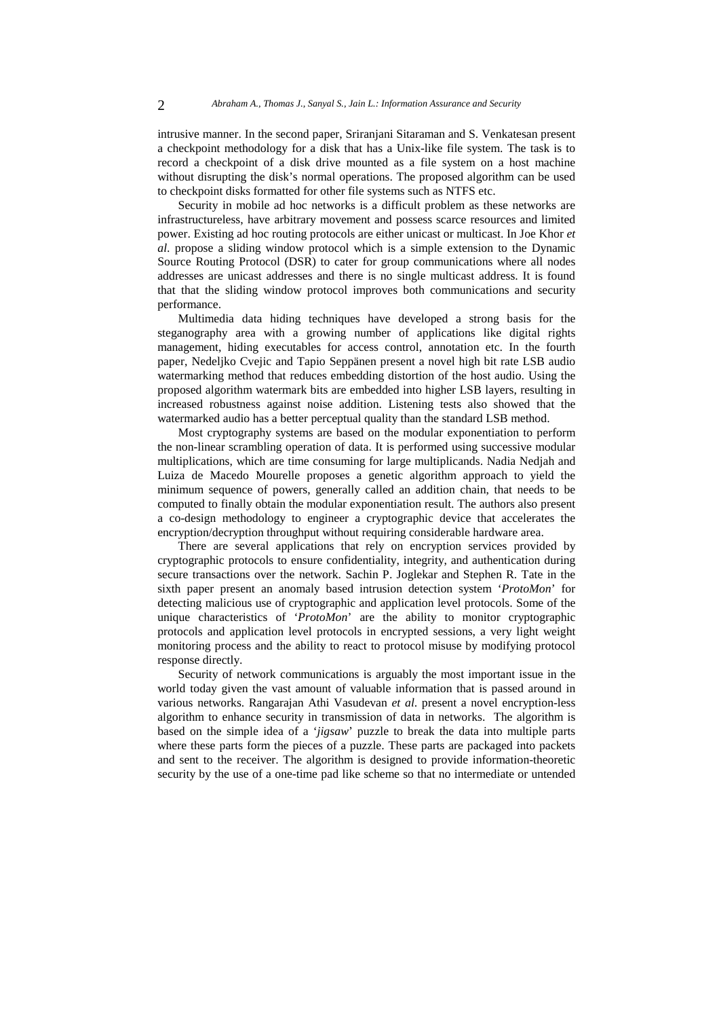intrusive manner. In the second paper, Sriranjani Sitaraman and S. Venkatesan present a checkpoint methodology for a disk that has a Unix-like file system. The task is to record a checkpoint of a disk drive mounted as a file system on a host machine without disrupting the disk's normal operations. The proposed algorithm can be used to checkpoint disks formatted for other file systems such as NTFS etc.

Security in mobile ad hoc networks is a difficult problem as these networks are infrastructureless, have arbitrary movement and possess scarce resources and limited power. Existing ad hoc routing protocols are either unicast or multicast. In Joe Khor *et al*. propose a sliding window protocol which is a simple extension to the Dynamic Source Routing Protocol (DSR) to cater for group communications where all nodes addresses are unicast addresses and there is no single multicast address. It is found that that the sliding window protocol improves both communications and security performance.

Multimedia data hiding techniques have developed a strong basis for the steganography area with a growing number of applications like digital rights management, hiding executables for access control, annotation etc. In the fourth paper, Nedeljko Cvejic and Tapio Seppänen present a novel high bit rate LSB audio watermarking method that reduces embedding distortion of the host audio. Using the proposed algorithm watermark bits are embedded into higher LSB layers, resulting in increased robustness against noise addition. Listening tests also showed that the watermarked audio has a better perceptual quality than the standard LSB method.

Most cryptography systems are based on the modular exponentiation to perform the non-linear scrambling operation of data. It is performed using successive modular multiplications, which are time consuming for large multiplicands. Nadia Nedjah and Luiza de Macedo Mourelle proposes a genetic algorithm approach to yield the minimum sequence of powers, generally called an addition chain, that needs to be computed to finally obtain the modular exponentiation result. The authors also present a co-design methodology to engineer a cryptographic device that accelerates the encryption/decryption throughput without requiring considerable hardware area.

There are several applications that rely on encryption services provided by cryptographic protocols to ensure confidentiality, integrity, and authentication during secure transactions over the network. Sachin P. Joglekar and Stephen R. Tate in the sixth paper present an anomaly based intrusion detection system '*ProtoMon*' for detecting malicious use of cryptographic and application level protocols. Some of the unique characteristics of '*ProtoMon*' are the ability to monitor cryptographic protocols and application level protocols in encrypted sessions, a very light weight monitoring process and the ability to react to protocol misuse by modifying protocol response directly.

Security of network communications is arguably the most important issue in the world today given the vast amount of valuable information that is passed around in various networks. Rangarajan Athi Vasudevan *et al*. present a novel encryption-less algorithm to enhance security in transmission of data in networks. The algorithm is based on the simple idea of a '*jigsaw*' puzzle to break the data into multiple parts where these parts form the pieces of a puzzle. These parts are packaged into packets and sent to the receiver. The algorithm is designed to provide information-theoretic security by the use of a one-time pad like scheme so that no intermediate or untended